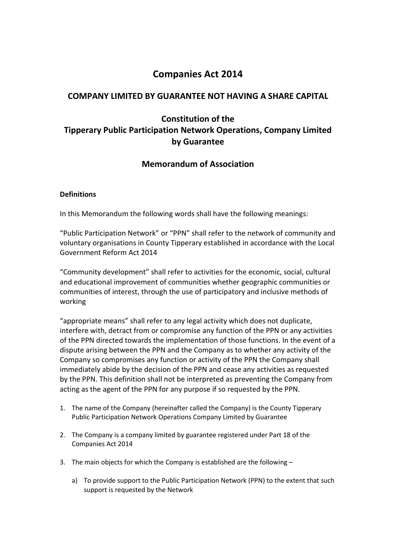# **Companies Act 2014**

## **COMPANY LIMITED BY GUARANTEE NOT HAVING A SHARE CAPITAL**

# **Constitution of the Tipperary Public Participation Network Operations, Company Limited by Guarantee**

## **Memorandum of Association**

## **Definitions**

In this Memorandum the following words shall have the following meanings:

"Public Participation Network" or "PPN" shall refer to the network of community and voluntary organisations in County Tipperary established in accordance with the Local Government Reform Act 2014

"Community development" shall refer to activities for the economic, social, cultural and educational improvement of communities whether geographic communities or communities of interest, through the use of participatory and inclusive methods of working

"appropriate means" shall refer to any legal activity which does not duplicate, interfere with, detract from or compromise any function of the PPN or any activities of the PPN directed towards the implementation of those functions. In the event of a dispute arising between the PPN and the Company as to whether any activity of the Company so compromises any function or activity of the PPN the Company shall immediately abide by the decision of the PPN and cease any activities as requested by the PPN. This definition shall not be interpreted as preventing the Company from acting as the agent of the PPN for any purpose if so requested by the PPN.

- 1. The name of the Company (hereinafter called the Company) is the County Tipperary Public Participation Network Operations Company Limited by Guarantee
- 2. The Company is a company limited by guarantee registered under Part 18 of the Companies Act 2014
- 3. The main objects for which the Company is established are the following
	- a) To provide support to the Public Participation Network (PPN) to the extent that such support is requested by the Network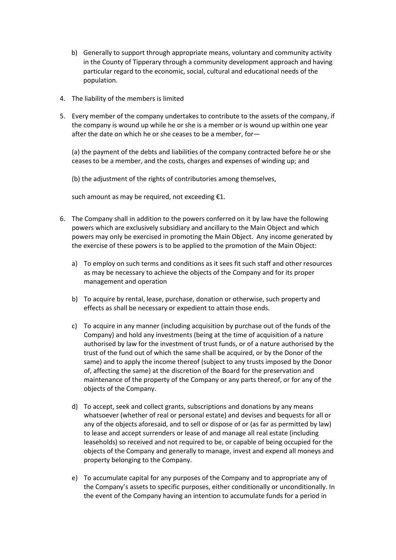- b) Generally to support through appropriate means, voluntary and community activity in the County of Tipperary through a community development approach and having particular regard to the economic, social, cultural and educational needs of the population.
- 4. The liability of the members is limited
- 5. Every member of the company undertakes to contribute to the assets of the company, if the company is wound up while he or she is a member or is wound up within one year after the date on which he or she ceases to be a member, for—

(a) the payment of the debts and liabilities of the company contracted before he or she ceases to be a member, and the costs, charges and expenses of winding up; and

(b) the adjustment of the rights of contributories among themselves,

such amount as may be required, not exceeding €1.

- 6. The Company shall in addition to the powers conferred on it by law have the following powers which are exclusively subsidiary and ancillary to the Main Object and which powers may only be exercised in promoting the Main Object. Any income generated by the exercise of these powers is to be applied to the promotion of the Main Object:
	- a) To employ on such terms and conditions as it sees fit such staff and other resources as may be necessary to achieve the objects of the Company and for its proper management and operation
	- b) To acquire by rental, lease, purchase, donation or otherwise, such property and effects as shall be necessary or expedient to attain those ends.
	- c) To acquire in any manner (including acquisition by purchase out of the funds of the Company) and hold any investments (being at the time of acquisition of a nature authorised by law for the investment of trust funds, or of a nature authorised by the trust of the fund out of which the same shall be acquired, or by the Donor of the same) and to apply the income thereof (subject to any trusts imposed by the Donor of, affecting the same) at the discretion of the Board for the preservation and maintenance of the property of the Company or any parts thereof, or for any of the objects of the Company.
	- d) To accept, seek and collect grants, subscriptions and donations by any means whatsoever (whether of real or personal estate) and devises and bequests for all or any of the objects aforesaid, and to sell or dispose of or (as far as permitted by law) to lease and accept surrenders or lease of and manage all real estate (including leaseholds) so received and not required to be, or capable of being occupied for the objects of the Company and generally to manage, invest and expend all moneys and property belonging to the Company.
	- e) To accumulate capital for any purposes of the Company and to appropriate any of the Company's assets to specific purposes, either conditionally or unconditionally. In the event of the Company having an intention to accumulate funds for a period in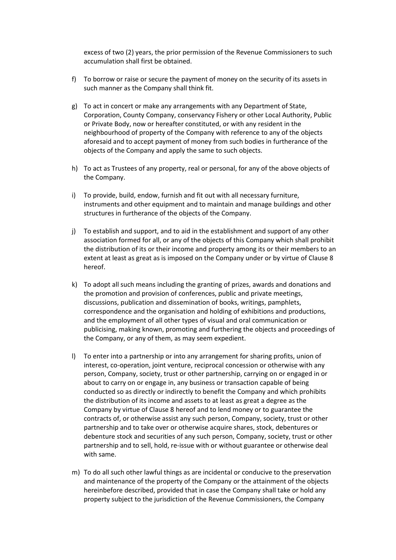excess of two (2) years, the prior permission of the Revenue Commissioners to such accumulation shall first be obtained.

- f) To borrow or raise or secure the payment of money on the security of its assets in such manner as the Company shall think fit.
- g) To act in concert or make any arrangements with any Department of State, Corporation, County Company, conservancy Fishery or other Local Authority, Public or Private Body, now or hereafter constituted, or with any resident in the neighbourhood of property of the Company with reference to any of the objects aforesaid and to accept payment of money from such bodies in furtherance of the objects of the Company and apply the same to such objects.
- h) To act as Trustees of any property, real or personal, for any of the above objects of the Company.
- i) To provide, build, endow, furnish and fit out with all necessary furniture, instruments and other equipment and to maintain and manage buildings and other structures in furtherance of the objects of the Company.
- j) To establish and support, and to aid in the establishment and support of any other association formed for all, or any of the objects of this Company which shall prohibit the distribution of its or their income and property among its or their members to an extent at least as great as is imposed on the Company under or by virtue of Clause 8 hereof.
- k) To adopt all such means including the granting of prizes, awards and donations and the promotion and provision of conferences, public and private meetings, discussions, publication and dissemination of books, writings, pamphlets, correspondence and the organisation and holding of exhibitions and productions, and the employment of all other types of visual and oral communication or publicising, making known, promoting and furthering the objects and proceedings of the Company, or any of them, as may seem expedient.
- l) To enter into a partnership or into any arrangement for sharing profits, union of interest, co-operation, joint venture, reciprocal concession or otherwise with any person, Company, society, trust or other partnership, carrying on or engaged in or about to carry on or engage in, any business or transaction capable of being conducted so as directly or indirectly to benefit the Company and which prohibits the distribution of its income and assets to at least as great a degree as the Company by virtue of Clause 8 hereof and to lend money or to guarantee the contracts of, or otherwise assist any such person, Company, society, trust or other partnership and to take over or otherwise acquire shares, stock, debentures or debenture stock and securities of any such person, Company, society, trust or other partnership and to sell, hold, re-issue with or without guarantee or otherwise deal with same.
- m) To do all such other lawful things as are incidental or conducive to the preservation and maintenance of the property of the Company or the attainment of the objects hereinbefore described, provided that in case the Company shall take or hold any property subject to the jurisdiction of the Revenue Commissioners, the Company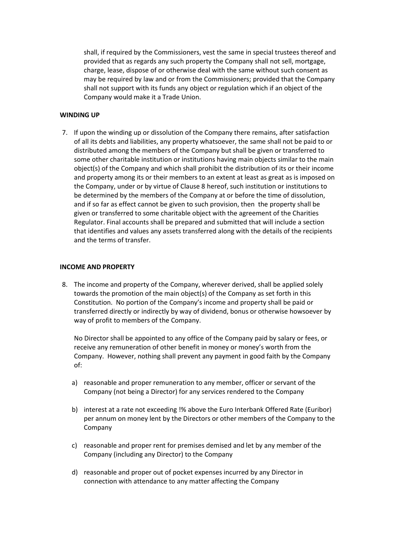shall, if required by the Commissioners, vest the same in special trustees thereof and provided that as regards any such property the Company shall not sell, mortgage, charge, lease, dispose of or otherwise deal with the same without such consent as may be required by law and or from the Commissioners; provided that the Company shall not support with its funds any object or regulation which if an object of the Company would make it a Trade Union.

### **WINDING UP**

7. If upon the winding up or dissolution of the Company there remains, after satisfaction of all its debts and liabilities, any property whatsoever, the same shall not be paid to or distributed among the members of the Company but shall be given or transferred to some other charitable institution or institutions having main objects similar to the main object(s) of the Company and which shall prohibit the distribution of its or their income and property among its or their members to an extent at least as great as is imposed on the Company, under or by virtue of Clause 8 hereof, such institution or institutions to be determined by the members of the Company at or before the time of dissolution, and if so far as effect cannot be given to such provision, then the property shall be given or transferred to some charitable object with the agreement of the Charities Regulator. Final accounts shall be prepared and submitted that will include a section that identifies and values any assets transferred along with the details of the recipients and the terms of transfer.

#### **INCOME AND PROPERTY**

8. The income and property of the Company, wherever derived, shall be applied solely towards the promotion of the main object(s) of the Company as set forth in this Constitution. No portion of the Company's income and property shall be paid or transferred directly or indirectly by way of dividend, bonus or otherwise howsoever by way of profit to members of the Company.

No Director shall be appointed to any office of the Company paid by salary or fees, or receive any remuneration of other benefit in money or money's worth from the Company. However, nothing shall prevent any payment in good faith by the Company of:

- a) reasonable and proper remuneration to any member, officer or servant of the Company (not being a Director) for any services rendered to the Company
- b) interest at a rate not exceeding !% above the Euro Interbank Offered Rate (Euribor) per annum on money lent by the Directors or other members of the Company to the Company
- c) reasonable and proper rent for premises demised and let by any member of the Company (including any Director) to the Company
- d) reasonable and proper out of pocket expenses incurred by any Director in connection with attendance to any matter affecting the Company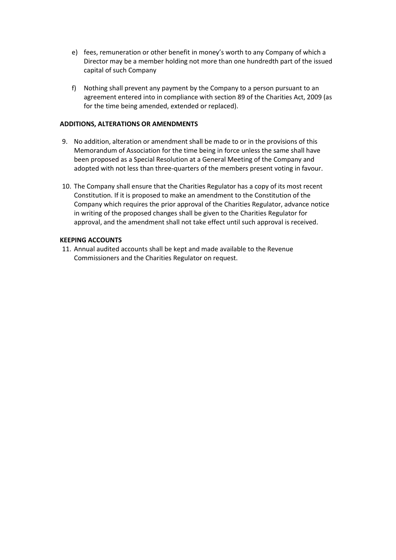- e) fees, remuneration or other benefit in money's worth to any Company of which a Director may be a member holding not more than one hundredth part of the issued capital of such Company
- f) Nothing shall prevent any payment by the Company to a person pursuant to an agreement entered into in compliance with section 89 of the Charities Act, 2009 (as for the time being amended, extended or replaced).

### **ADDITIONS, ALTERATIONS OR AMENDMENTS**

- 9. No addition, alteration or amendment shall be made to or in the provisions of this Memorandum of Association for the time being in force unless the same shall have been proposed as a Special Resolution at a General Meeting of the Company and adopted with not less than three-quarters of the members present voting in favour.
- 10. The Company shall ensure that the Charities Regulator has a copy of its most recent Constitution. If it is proposed to make an amendment to the Constitution of the Company which requires the prior approval of the Charities Regulator, advance notice in writing of the proposed changes shall be given to the Charities Regulator for approval, and the amendment shall not take effect until such approval is received.

## **KEEPING ACCOUNTS**

11. Annual audited accounts shall be kept and made available to the Revenue Commissioners and the Charities Regulator on request.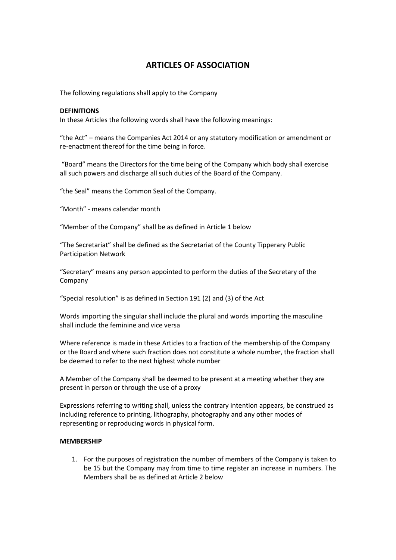## **ARTICLES OF ASSOCIATION**

The following regulations shall apply to the Company

#### **DEFINITIONS**

In these Articles the following words shall have the following meanings:

"the Act" – means the Companies Act 2014 or any statutory modification or amendment or re-enactment thereof for the time being in force.

"Board" means the Directors for the time being of the Company which body shall exercise all such powers and discharge all such duties of the Board of the Company.

"the Seal" means the Common Seal of the Company.

"Month" - means calendar month

"Member of the Company" shall be as defined in Article 1 below

"The Secretariat" shall be defined as the Secretariat of the County Tipperary Public Participation Network

"Secretary" means any person appointed to perform the duties of the Secretary of the Company

"Special resolution" is as defined in Section 191 (2) and (3) of the Act

Words importing the singular shall include the plural and words importing the masculine shall include the feminine and vice versa

Where reference is made in these Articles to a fraction of the membership of the Company or the Board and where such fraction does not constitute a whole number, the fraction shall be deemed to refer to the next highest whole number

A Member of the Company shall be deemed to be present at a meeting whether they are present in person or through the use of a proxy

Expressions referring to writing shall, unless the contrary intention appears, be construed as including reference to printing, lithography, photography and any other modes of representing or reproducing words in physical form.

#### **MEMBERSHIP**

1. For the purposes of registration the number of members of the Company is taken to be 15 but the Company may from time to time register an increase in numbers. The Members shall be as defined at Article 2 below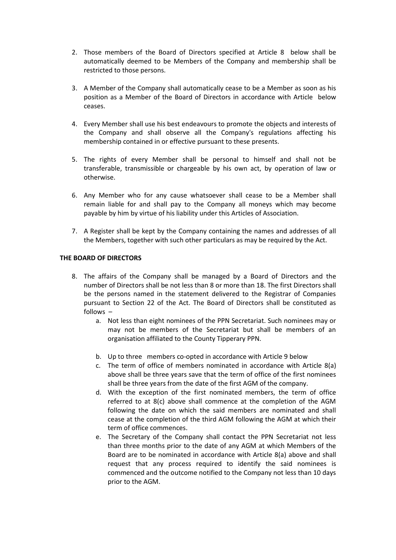- 2. Those members of the Board of Directors specified at Article 8 below shall be automatically deemed to be Members of the Company and membership shall be restricted to those persons.
- 3. A Member of the Company shall automatically cease to be a Member as soon as his position as a Member of the Board of Directors in accordance with Article below ceases.
- 4. Every Member shall use his best endeavours to promote the objects and interests of the Company and shall observe all the Company's regulations affecting his membership contained in or effective pursuant to these presents.
- 5. The rights of every Member shall be personal to himself and shall not be transferable, transmissible or chargeable by his own act, by operation of law or otherwise.
- 6. Any Member who for any cause whatsoever shall cease to be a Member shall remain liable for and shall pay to the Company all moneys which may become payable by him by virtue of his liability under this Articles of Association.
- 7. A Register shall be kept by the Company containing the names and addresses of all the Members, together with such other particulars as may be required by the Act.

#### **THE BOARD OF DIRECTORS**

- 8. The affairs of the Company shall be managed by a Board of Directors and the number of Directors shall be not less than 8 or more than 18. The first Directors shall be the persons named in the statement delivered to the Registrar of Companies pursuant to Section 22 of the Act. The Board of Directors shall be constituted as follows –
	- a. Not less than eight nominees of the PPN Secretariat. Such nominees may or may not be members of the Secretariat but shall be members of an organisation affiliated to the County Tipperary PPN.
	- b. Up to three members co-opted in accordance with Article 9 below
	- c. The term of office of members nominated in accordance with Article 8(a) above shall be three years save that the term of office of the first nominees shall be three years from the date of the first AGM of the company.
	- d. With the exception of the first nominated members, the term of office referred to at 8(c) above shall commence at the completion of the AGM following the date on which the said members are nominated and shall cease at the completion of the third AGM following the AGM at which their term of office commences.
	- e. The Secretary of the Company shall contact the PPN Secretariat not less than three months prior to the date of any AGM at which Members of the Board are to be nominated in accordance with Article 8(a) above and shall request that any process required to identify the said nominees is commenced and the outcome notified to the Company not less than 10 days prior to the AGM.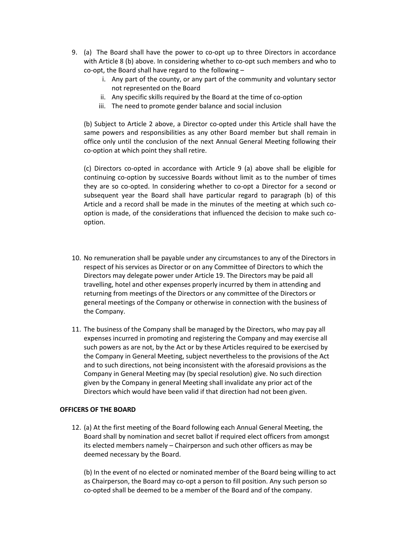- 9. (a) The Board shall have the power to co-opt up to three Directors in accordance with Article 8 (b) above. In considering whether to co-opt such members and who to co-opt, the Board shall have regard to the following –
	- i. Any part of the county, or any part of the community and voluntary sector not represented on the Board
	- ii. Any specific skills required by the Board at the time of co-option
	- iii. The need to promote gender balance and social inclusion

(b) Subject to Article 2 above, a Director co-opted under this Article shall have the same powers and responsibilities as any other Board member but shall remain in office only until the conclusion of the next Annual General Meeting following their co-option at which point they shall retire.

(c) Directors co-opted in accordance with Article 9 (a) above shall be eligible for continuing co-option by successive Boards without limit as to the number of times they are so co-opted. In considering whether to co-opt a Director for a second or subsequent year the Board shall have particular regard to paragraph (b) of this Article and a record shall be made in the minutes of the meeting at which such cooption is made, of the considerations that influenced the decision to make such cooption.

- 10. No remuneration shall be payable under any circumstances to any of the Directors in respect of his services as Director or on any Committee of Directors to which the Directors may delegate power under Article 19. The Directors may be paid all travelling, hotel and other expenses properly incurred by them in attending and returning from meetings of the Directors or any committee of the Directors or general meetings of the Company or otherwise in connection with the business of the Company.
- 11. The business of the Company shall be managed by the Directors, who may pay all expenses incurred in promoting and registering the Company and may exercise all such powers as are not, by the Act or by these Articles required to be exercised by the Company in General Meeting, subject nevertheless to the provisions of the Act and to such directions, not being inconsistent with the aforesaid provisions as the Company in General Meeting may (by special resolution) give. No such direction given by the Company in general Meeting shall invalidate any prior act of the Directors which would have been valid if that direction had not been given.

#### **OFFICERS OF THE BOARD**

12. (a) At the first meeting of the Board following each Annual General Meeting, the Board shall by nomination and secret ballot if required elect officers from amongst its elected members namely – Chairperson and such other officers as may be deemed necessary by the Board.

(b) In the event of no elected or nominated member of the Board being willing to act as Chairperson, the Board may co-opt a person to fill position. Any such person so co-opted shall be deemed to be a member of the Board and of the company.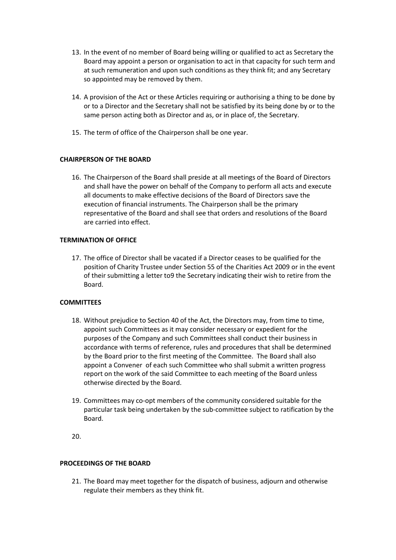- 13. In the event of no member of Board being willing or qualified to act as Secretary the Board may appoint a person or organisation to act in that capacity for such term and at such remuneration and upon such conditions as they think fit; and any Secretary so appointed may be removed by them.
- 14. A provision of the Act or these Articles requiring or authorising a thing to be done by or to a Director and the Secretary shall not be satisfied by its being done by or to the same person acting both as Director and as, or in place of, the Secretary.
- 15. The term of office of the Chairperson shall be one year.

## **CHAIRPERSON OF THE BOARD**

16. The Chairperson of the Board shall preside at all meetings of the Board of Directors and shall have the power on behalf of the Company to perform all acts and execute all documents to make effective decisions of the Board of Directors save the execution of financial instruments. The Chairperson shall be the primary representative of the Board and shall see that orders and resolutions of the Board are carried into effect.

## **TERMINATION OF OFFICE**

17. The office of Director shall be vacated if a Director ceases to be qualified for the position of Charity Trustee under Section 55 of the Charities Act 2009 or in the event of their submitting a letter to9 the Secretary indicating their wish to retire from the Board.

## **COMMITTEES**

- 18. Without prejudice to Section 40 of the Act, the Directors may, from time to time, appoint such Committees as it may consider necessary or expedient for the purposes of the Company and such Committees shall conduct their business in accordance with terms of reference, rules and procedures that shall be determined by the Board prior to the first meeting of the Committee. The Board shall also appoint a Convener of each such Committee who shall submit a written progress report on the work of the said Committee to each meeting of the Board unless otherwise directed by the Board.
- 19. Committees may co-opt members of the community considered suitable for the particular task being undertaken by the sub-committee subject to ratification by the Board.
- 20.

### **PROCEEDINGS OF THE BOARD**

21. The Board may meet together for the dispatch of business, adjourn and otherwise regulate their members as they think fit.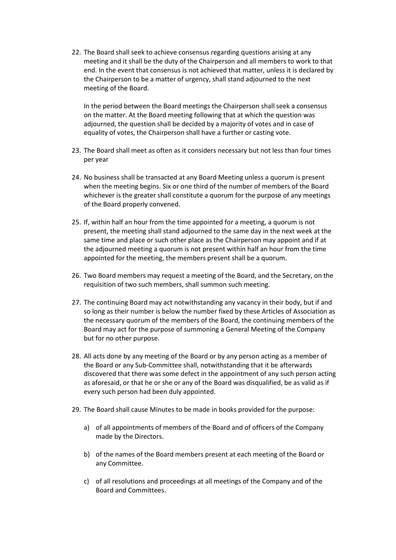22. The Board shall seek to achieve consensus regarding questions arising at any meeting and it shall be the duty of the Chairperson and all members to work to that end. In the event that consensus is not achieved that matter, unless it is declared by the Chairperson to be a matter of urgency, shall stand adjourned to the next meeting of the Board.

In the period between the Board meetings the Chairperson shall seek a consensus on the matter. At the Board meeting following that at which the question was adjourned, the question shall be decided by a majority of votes and in case of equality of votes, the Chairperson shall have a further or casting vote.

- 23. The Board shall meet as often as it considers necessary but not less than four times per year
- 24. No business shall be transacted at any Board Meeting unless a quorum is present when the meeting begins. Six or one third of the number of members of the Board whichever is the greater shall constitute a quorum for the purpose of any meetings of the Board properly convened.
- 25. If, within half an hour from the time appointed for a meeting, a quorum is not present, the meeting shall stand adjourned to the same day in the next week at the same time and place or such other place as the Chairperson may appoint and if at the adjourned meeting a quorum is not present within half an hour from the time appointed for the meeting, the members present shall be a quorum.
- 26. Two Board members may request a meeting of the Board, and the Secretary, on the requisition of two such members, shall summon such meeting.
- 27. The continuing Board may act notwithstanding any vacancy in their body, but if and so long as their number is below the number fixed by these Articles of Association as the necessary quorum of the members of the Board, the continuing members of the Board may act for the purpose of summoning a General Meeting of the Company but for no other purpose.
- 28. All acts done by any meeting of the Board or by any person acting as a member of the Board or any Sub-Committee shall, notwithstanding that it be afterwards discovered that there was some defect in the appointment of any such person acting as aforesaid, or that he or she or any of the Board was disqualified, be as valid as if every such person had been duly appointed.
- 29. The Board shall cause Minutes to be made in books provided for the purpose:
	- a) of all appointments of members of the Board and of officers of the Company made by the Directors.
	- b) of the names of the Board members present at each meeting of the Board or any Committee.
	- c) of all resolutions and proceedings at all meetings of the Company and of the Board and Committees.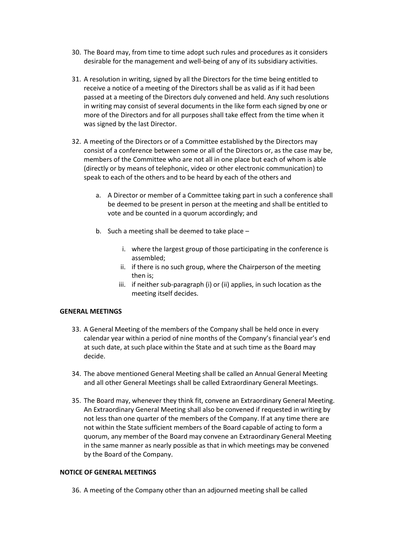- 30. The Board may, from time to time adopt such rules and procedures as it considers desirable for the management and well-being of any of its subsidiary activities.
- 31. A resolution in writing, signed by all the Directors for the time being entitled to receive a notice of a meeting of the Directors shall be as valid as if it had been passed at a meeting of the Directors duly convened and held. Any such resolutions in writing may consist of several documents in the like form each signed by one or more of the Directors and for all purposes shall take effect from the time when it was signed by the last Director.
- 32. A meeting of the Directors or of a Committee established by the Directors may consist of a conference between some or all of the Directors or, as the case may be, members of the Committee who are not all in one place but each of whom is able (directly or by means of telephonic, video or other electronic communication) to speak to each of the others and to be heard by each of the others and
	- a. A Director or member of a Committee taking part in such a conference shall be deemed to be present in person at the meeting and shall be entitled to vote and be counted in a quorum accordingly; and
	- b. Such a meeting shall be deemed to take place
		- i. where the largest group of those participating in the conference is assembled;
		- ii. if there is no such group, where the Chairperson of the meeting then is;
		- iii. if neither sub-paragraph (i) or (ii) applies, in such location as the meeting itself decides.

#### **GENERAL MEETINGS**

- 33. A General Meeting of the members of the Company shall be held once in every calendar year within a period of nine months of the Company's financial year's end at such date, at such place within the State and at such time as the Board may decide.
- 34. The above mentioned General Meeting shall be called an Annual General Meeting and all other General Meetings shall be called Extraordinary General Meetings.
- 35. The Board may, whenever they think fit, convene an Extraordinary General Meeting. An Extraordinary General Meeting shall also be convened if requested in writing by not less than one quarter of the members of the Company. If at any time there are not within the State sufficient members of the Board capable of acting to form a quorum, any member of the Board may convene an Extraordinary General Meeting in the same manner as nearly possible as that in which meetings may be convened by the Board of the Company.

#### **NOTICE OF GENERAL MEETINGS**

36. A meeting of the Company other than an adjourned meeting shall be called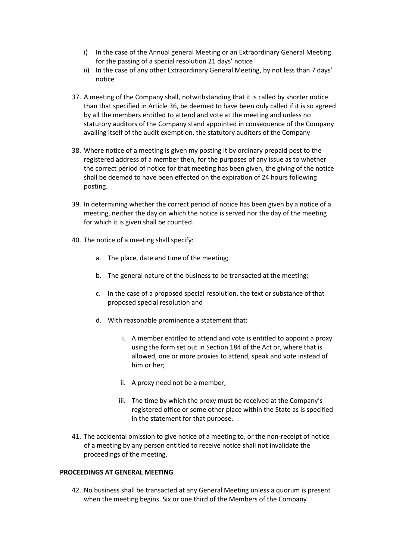- i) In the case of the Annual general Meeting or an Extraordinary General Meeting for the passing of a special resolution 21 days' notice
- ii) In the case of any other Extraordinary General Meeting, by not less than 7 days' notice
- 37. A meeting of the Company shall, notwithstanding that it is called by shorter notice than that specified in Article 36, be deemed to have been duly called if it is so agreed by all the members entitled to attend and vote at the meeting and unless no statutory auditors of the Company stand appointed in consequence of the Company availing itself of the audit exemption, the statutory auditors of the Company
- 38. Where notice of a meeting is given my posting it by ordinary prepaid post to the registered address of a member then, for the purposes of any issue as to whether the correct period of notice for that meeting has been given, the giving of the notice shall be deemed to have been effected on the expiration of 24 hours following posting.
- 39. In determining whether the correct period of notice has been given by a notice of a meeting, neither the day on which the notice is served nor the day of the meeting for which it is given shall be counted.
- 40. The notice of a meeting shall specify:
	- a. The place, date and time of the meeting;
	- b. The general nature of the business to be transacted at the meeting;
	- c. In the case of a proposed special resolution, the text or substance of that proposed special resolution and
	- d. With reasonable prominence a statement that:
		- i. A member entitled to attend and vote is entitled to appoint a proxy using the form set out in Section 184 of the Act or, where that is allowed, one or more proxies to attend, speak and vote instead of him or her;
		- ii. A proxy need not be a member;
		- iii. The time by which the proxy must be received at the Company's registered office or some other place within the State as is specified in the statement for that purpose.
- 41. The accidental omission to give notice of a meeting to, or the non-receipt of notice of a meeting by any person entitled to receive notice shall not invalidate the proceedings of the meeting.

#### **PROCEEDINGS AT GENERAL MEETING**

42. No business shall be transacted at any General Meeting unless a quorum is present when the meeting begins. Six or one third of the Members of the Company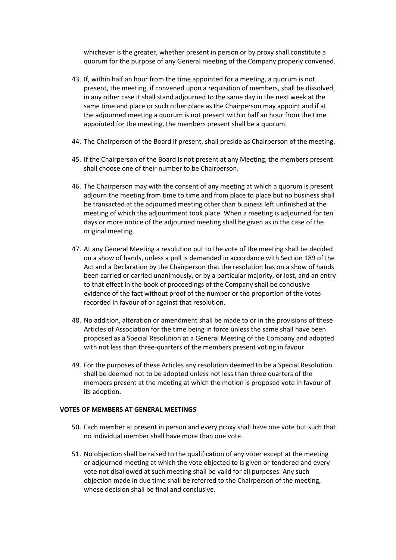whichever is the greater, whether present in person or by proxy shall constitute a quorum for the purpose of any General meeting of the Company properly convened.

- 43. If, within half an hour from the time appointed for a meeting, a quorum is not present, the meeting, if convened upon a requisition of members, shall be dissolved, in any other case it shall stand adjourned to the same day in the next week at the same time and place or such other place as the Chairperson may appoint and if at the adjourned meeting a quorum is not present within half an hour from the time appointed for the meeting, the members present shall be a quorum.
- 44. The Chairperson of the Board if present, shall preside as Chairperson of the meeting.
- 45. If the Chairperson of the Board is not present at any Meeting, the members present shall choose one of their number to be Chairperson.
- 46. The Chairperson may with the consent of any meeting at which a quorum is present adjourn the meeting from time to time and from place to place but no business shall be transacted at the adjourned meeting other than business left unfinished at the meeting of which the adjournment took place. When a meeting is adjourned for ten days or more notice of the adjourned meeting shall be given as in the case of the original meeting.
- 47. At any General Meeting a resolution put to the vote of the meeting shall be decided on a show of hands, unless a poll is demanded in accordance with Section 189 of the Act and a Declaration by the Chairperson that the resolution has on a show of hands been carried or carried unanimously, or by a particular majority, or lost, and an entry to that effect in the book of proceedings of the Company shall be conclusive evidence of the fact without proof of the number or the proportion of the votes recorded in favour of or against that resolution.
- 48. No addition, alteration or amendment shall be made to or in the provisions of these Articles of Association for the time being in force unless the same shall have been proposed as a Special Resolution at a General Meeting of the Company and adopted with not less than three-quarters of the members present voting in favour
- 49. For the purposes of these Articles any resolution deemed to be a Special Resolution shall be deemed not to be adopted unless not less than three quarters of the members present at the meeting at which the motion is proposed vote in favour of its adoption.

#### **VOTES OF MEMBERS AT GENERAL MEETINGS**

- 50. Each member at present in person and every proxy shall have one vote but such that no individual member shall have more than one vote.
- 51. No objection shall be raised to the qualification of any voter except at the meeting or adjourned meeting at which the vote objected to is given or tendered and every vote not disallowed at such meeting shall be valid for all purposes. Any such objection made in due time shall be referred to the Chairperson of the meeting, whose decision shall be final and conclusive.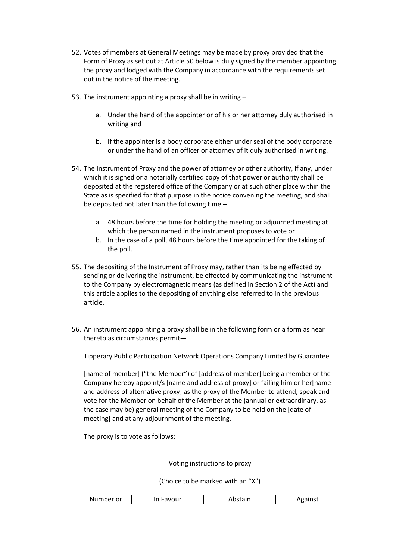- 52. Votes of members at General Meetings may be made by proxy provided that the Form of Proxy as set out at Article 50 below is duly signed by the member appointing the proxy and lodged with the Company in accordance with the requirements set out in the notice of the meeting.
- 53. The instrument appointing a proxy shall be in writing
	- a. Under the hand of the appointer or of his or her attorney duly authorised in writing and
	- b. If the appointer is a body corporate either under seal of the body corporate or under the hand of an officer or attorney of it duly authorised in writing.
- 54. The Instrument of Proxy and the power of attorney or other authority, if any, under which it is signed or a notarially certified copy of that power or authority shall be deposited at the registered office of the Company or at such other place within the State as is specified for that purpose in the notice convening the meeting, and shall be deposited not later than the following time –
	- a. 48 hours before the time for holding the meeting or adjourned meeting at which the person named in the instrument proposes to vote or
	- b. In the case of a poll, 48 hours before the time appointed for the taking of the poll.
- 55. The depositing of the Instrument of Proxy may, rather than its being effected by sending or delivering the instrument, be effected by communicating the instrument to the Company by electromagnetic means (as defined in Section 2 of the Act) and this article applies to the depositing of anything else referred to in the previous article.
- 56. An instrument appointing a proxy shall be in the following form or a form as near thereto as circumstances permit—

Tipperary Public Participation Network Operations Company Limited by Guarantee

[name of member] ("the Member") of [address of member] being a member of the Company hereby appoint/s [name and address of proxy] or failing him or her[name and address of alternative proxy] as the proxy of the Member to attend, speak and vote for the Member on behalf of the Member at the (annual or extraordinary, as the case may be) general meeting of the Company to be held on the [date of meeting] and at any adjournment of the meeting.

The proxy is to vote as follows:

Voting instructions to proxy

(Choice to be marked with an "X")

| .umbe<br>$\sim$ $\sim$<br>N | วนr | . | $\cdots$ |
|-----------------------------|-----|---|----------|
|                             |     |   |          |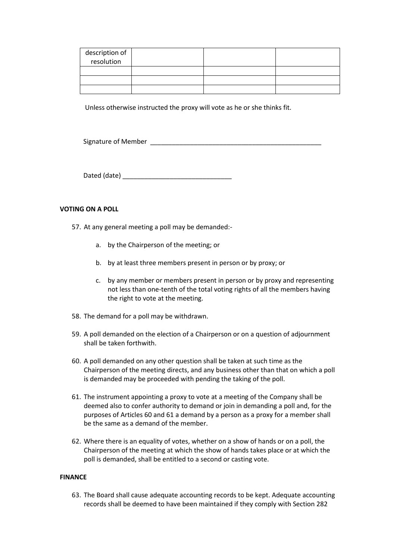| description of |  |  |
|----------------|--|--|
| resolution     |  |  |
|                |  |  |
|                |  |  |
|                |  |  |

Unless otherwise instructed the proxy will vote as he or she thinks fit.

Signature of Member \_\_\_\_\_\_\_\_\_\_\_\_\_\_\_\_\_\_\_\_\_\_\_\_\_\_\_\_\_\_\_\_\_\_\_\_\_\_\_\_\_\_\_\_\_\_\_

Dated (date) \_\_\_\_\_\_\_\_\_\_\_\_\_\_\_\_\_\_\_\_\_\_\_\_\_\_\_\_\_\_

#### **VOTING ON A POLL**

- 57. At any general meeting a poll may be demanded:
	- a. by the Chairperson of the meeting; or
	- b. by at least three members present in person or by proxy; or
	- c. by any member or members present in person or by proxy and representing not less than one-tenth of the total voting rights of all the members having the right to vote at the meeting.
- 58. The demand for a poll may be withdrawn.
- 59. A poll demanded on the election of a Chairperson or on a question of adjournment shall be taken forthwith.
- 60. A poll demanded on any other question shall be taken at such time as the Chairperson of the meeting directs, and any business other than that on which a poll is demanded may be proceeded with pending the taking of the poll.
- 61. The instrument appointing a proxy to vote at a meeting of the Company shall be deemed also to confer authority to demand or join in demanding a poll and, for the purposes of Articles 60 and 61 a demand by a person as a proxy for a member shall be the same as a demand of the member.
- 62. Where there is an equality of votes, whether on a show of hands or on a poll, the Chairperson of the meeting at which the show of hands takes place or at which the poll is demanded, shall be entitled to a second or casting vote.

#### **FINANCE**

63. The Board shall cause adequate accounting records to be kept. Adequate accounting records shall be deemed to have been maintained if they comply with Section 282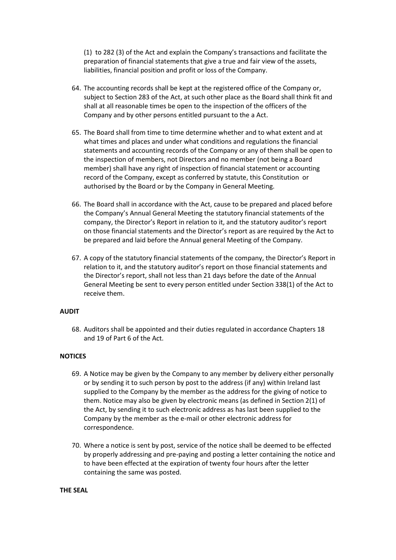(1) to 282 (3) of the Act and explain the Company's transactions and facilitate the preparation of financial statements that give a true and fair view of the assets, liabilities, financial position and profit or loss of the Company.

- 64. The accounting records shall be kept at the registered office of the Company or, subject to Section 283 of the Act, at such other place as the Board shall think fit and shall at all reasonable times be open to the inspection of the officers of the Company and by other persons entitled pursuant to the a Act.
- 65. The Board shall from time to time determine whether and to what extent and at what times and places and under what conditions and regulations the financial statements and accounting records of the Company or any of them shall be open to the inspection of members, not Directors and no member (not being a Board member) shall have any right of inspection of financial statement or accounting record of the Company, except as conferred by statute, this Constitution or authorised by the Board or by the Company in General Meeting.
- 66. The Board shall in accordance with the Act, cause to be prepared and placed before the Company's Annual General Meeting the statutory financial statements of the company, the Director's Report in relation to it, and the statutory auditor's report on those financial statements and the Director's report as are required by the Act to be prepared and laid before the Annual general Meeting of the Company.
- 67. A copy of the statutory financial statements of the company, the Director's Report in relation to it, and the statutory auditor's report on those financial statements and the Director's report, shall not less than 21 days before the date of the Annual General Meeting be sent to every person entitled under Section 338(1) of the Act to receive them.

#### **AUDIT**

68. Auditors shall be appointed and their duties regulated in accordance Chapters 18 and 19 of Part 6 of the Act.

#### **NOTICES**

- 69. A Notice may be given by the Company to any member by delivery either personally or by sending it to such person by post to the address (if any) within Ireland last supplied to the Company by the member as the address for the giving of notice to them. Notice may also be given by electronic means (as defined in Section 2(1) of the Act, by sending it to such electronic address as has last been supplied to the Company by the member as the e-mail or other electronic address for correspondence.
- 70. Where a notice is sent by post, service of the notice shall be deemed to be effected by properly addressing and pre-paying and posting a letter containing the notice and to have been effected at the expiration of twenty four hours after the letter containing the same was posted.

#### **THE SEAL**